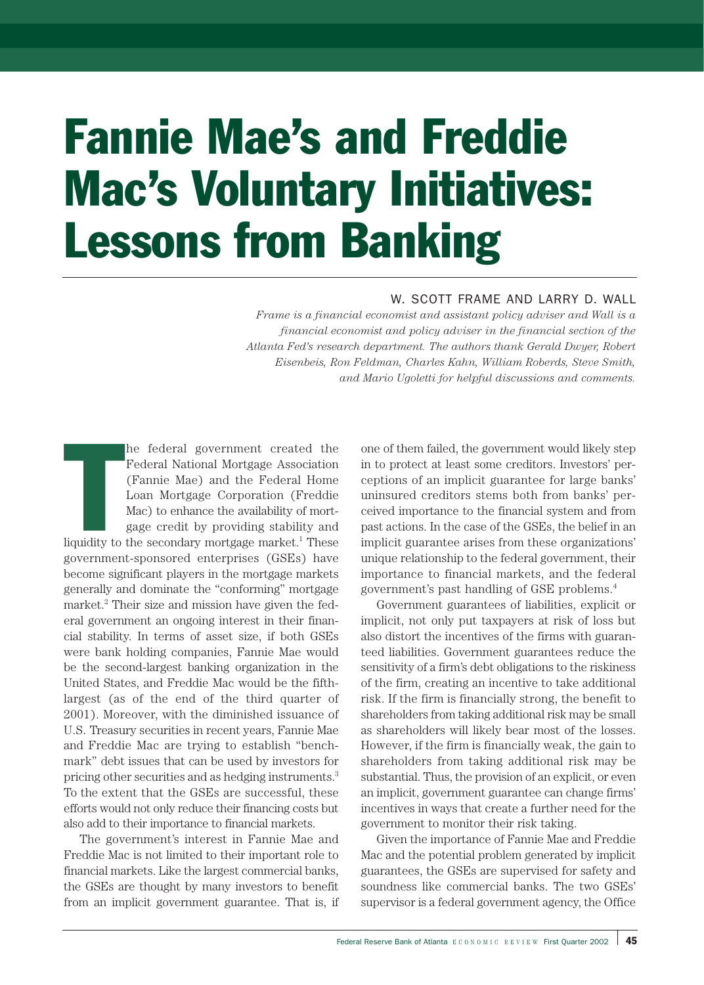# Fannie Mae's and Freddie Mac's Voluntary Initiatives: Lessons from Banking

## W. SCOTT FRAME AND LARRY D. WALL

*Frame is a financial economist and assistant policy adviser and Wall is a financial economist and policy adviser in the financial section of the Atlanta Fed's research department. The authors thank Gerald Dwyer, Robert Eisenbeis, Ron Feldman, Charles Kahn, William Roberds, Steve Smith, and Mario Ugoletti for helpful discussions and comments.*

|<br>|<br>|<br>|iquidity to he federal government created the Federal National Mortgage Association (Fannie Mae) and the Federal Home Loan Mortgage Corporation (Freddie Mac) to enhance the availability of mortgage credit by providing stability and

liquidity to the secondary mortgage market.<sup>1</sup> These government-sponsored enterprises (GSEs) have become significant players in the mortgage markets generally and dominate the "conforming" mortgage market.<sup>2</sup> Their size and mission have given the federal government an ongoing interest in their financial stability. In terms of asset size, if both GSEs were bank holding companies, Fannie Mae would be the second-largest banking organization in the United States, and Freddie Mac would be the fifthlargest (as of the end of the third quarter of 2001). Moreover, with the diminished issuance of U.S. Treasury securities in recent years, Fannie Mae and Freddie Mac are trying to establish "benchmark" debt issues that can be used by investors for pricing other securities and as hedging instruments.3 To the extent that the GSEs are successful, these efforts would not only reduce their financing costs but also add to their importance to financial markets.

The government's interest in Fannie Mae and Freddie Mac is not limited to their important role to financial markets. Like the largest commercial banks, the GSEs are thought by many investors to benefit from an implicit government guarantee. That is, if

one of them failed, the government would likely step in to protect at least some creditors. Investors' perceptions of an implicit guarantee for large banks' uninsured creditors stems both from banks' perceived importance to the financial system and from past actions. In the case of the GSEs, the belief in an implicit guarantee arises from these organizations' unique relationship to the federal government, their importance to financial markets, and the federal government's past handling of GSE problems.4

Government guarantees of liabilities, explicit or implicit, not only put taxpayers at risk of loss but also distort the incentives of the firms with guaranteed liabilities. Government guarantees reduce the sensitivity of a firm's debt obligations to the riskiness of the firm, creating an incentive to take additional risk. If the firm is financially strong, the benefit to shareholders from taking additional risk may be small as shareholders will likely bear most of the losses. However, if the firm is financially weak, the gain to shareholders from taking additional risk may be substantial. Thus, the provision of an explicit, or even an implicit, government guarantee can change firms' incentives in ways that create a further need for the government to monitor their risk taking.

Given the importance of Fannie Mae and Freddie Mac and the potential problem generated by implicit guarantees, the GSEs are supervised for safety and soundness like commercial banks. The two GSEs' supervisor is a federal government agency, the Office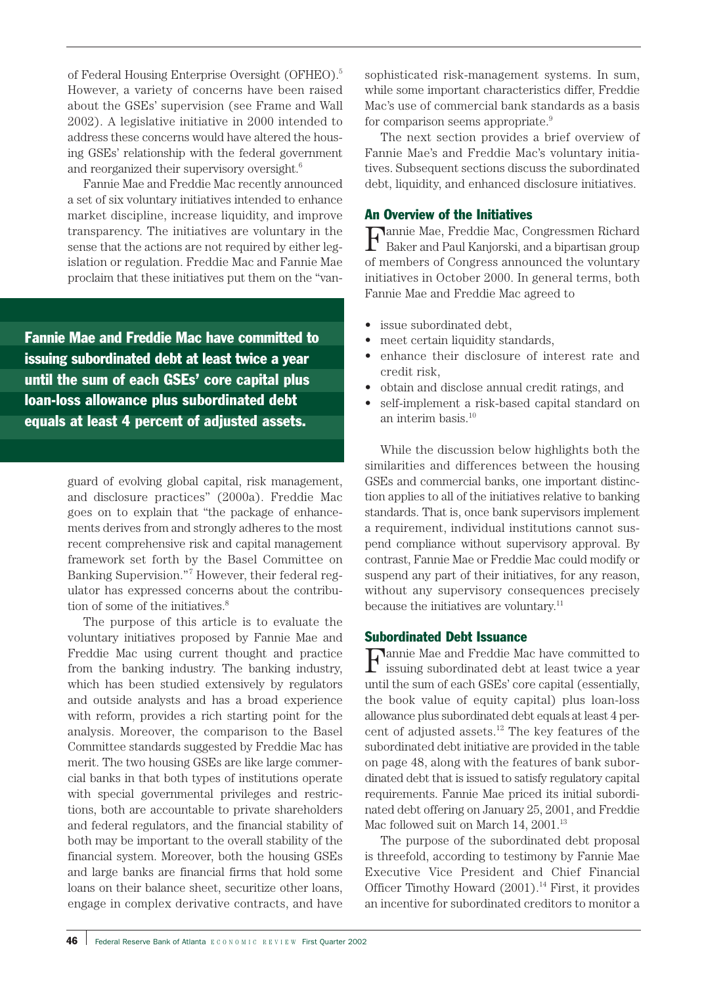of Federal Housing Enterprise Oversight (OFHEO).<sup>5</sup> However, a variety of concerns have been raised about the GSEs' supervision (see Frame and Wall 2002). A legislative initiative in 2000 intended to address these concerns would have altered the housing GSEs' relationship with the federal government and reorganized their supervisory oversight.<sup>6</sup>

Fannie Mae and Freddie Mac recently announced a set of six voluntary initiatives intended to enhance market discipline, increase liquidity, and improve transparency. The initiatives are voluntary in the sense that the actions are not required by either legislation or regulation. Freddie Mac and Fannie Mae proclaim that these initiatives put them on the "van-

Fannie Mae and Freddie Mac have committed to issuing subordinated debt at least twice a year until the sum of each GSEs' core capital plus loan-loss allowance plus subordinated debt equals at least 4 percent of adjusted assets.

> guard of evolving global capital, risk management, and disclosure practices" (2000a). Freddie Mac goes on to explain that "the package of enhancements derives from and strongly adheres to the most recent comprehensive risk and capital management framework set forth by the Basel Committee on Banking Supervision."<sup>7</sup> However, their federal regulator has expressed concerns about the contribution of some of the initiatives.<sup>8</sup>

> The purpose of this article is to evaluate the voluntary initiatives proposed by Fannie Mae and Freddie Mac using current thought and practice from the banking industry. The banking industry, which has been studied extensively by regulators and outside analysts and has a broad experience with reform, provides a rich starting point for the analysis. Moreover, the comparison to the Basel Committee standards suggested by Freddie Mac has merit. The two housing GSEs are like large commercial banks in that both types of institutions operate with special governmental privileges and restrictions, both are accountable to private shareholders and federal regulators, and the financial stability of both may be important to the overall stability of the financial system. Moreover, both the housing GSEs and large banks are financial firms that hold some loans on their balance sheet, securitize other loans, engage in complex derivative contracts, and have

sophisticated risk-management systems. In sum, while some important characteristics differ, Freddie Mac's use of commercial bank standards as a basis for comparison seems appropriate.<sup>9</sup>

The next section provides a brief overview of Fannie Mae's and Freddie Mac's voluntary initiatives. Subsequent sections discuss the subordinated debt, liquidity, and enhanced disclosure initiatives.

## An Overview of the Initiatives

Fannie Mae, Freddie Mac, Congressmen Richard Baker and Paul Kanjorski, and a bipartisan group of members of Congress announced the voluntary initiatives in October 2000. In general terms, both Fannie Mae and Freddie Mac agreed to

- issue subordinated debt,
- meet certain liquidity standards,
- enhance their disclosure of interest rate and credit risk,
- obtain and disclose annual credit ratings, and
- self-implement a risk-based capital standard on an interim basis.<sup>10</sup>

While the discussion below highlights both the similarities and differences between the housing GSEs and commercial banks, one important distinction applies to all of the initiatives relative to banking standards. That is, once bank supervisors implement a requirement, individual institutions cannot suspend compliance without supervisory approval. By contrast, Fannie Mae or Freddie Mac could modify or suspend any part of their initiatives, for any reason, without any supervisory consequences precisely because the initiatives are voluntary.<sup>11</sup>

## Subordinated Debt Issuance

Fannie Mae and Freddie Mac have committed to issuing subordinated debt at least twice a year until the sum of each GSEs' core capital (essentially, the book value of equity capital) plus loan-loss allowance plus subordinated debt equals at least 4 percent of adjusted assets. $12$  The key features of the subordinated debt initiative are provided in the table on page 48, along with the features of bank subordinated debt that is issued to satisfy regulatory capital requirements. Fannie Mae priced its initial subordinated debt offering on January 25, 2001, and Freddie Mac followed suit on March 14,  $2001.^{13}$ 

The purpose of the subordinated debt proposal is threefold, according to testimony by Fannie Mae Executive Vice President and Chief Financial Officer Timothy Howard  $(2001)$ .<sup>14</sup> First, it provides an incentive for subordinated creditors to monitor a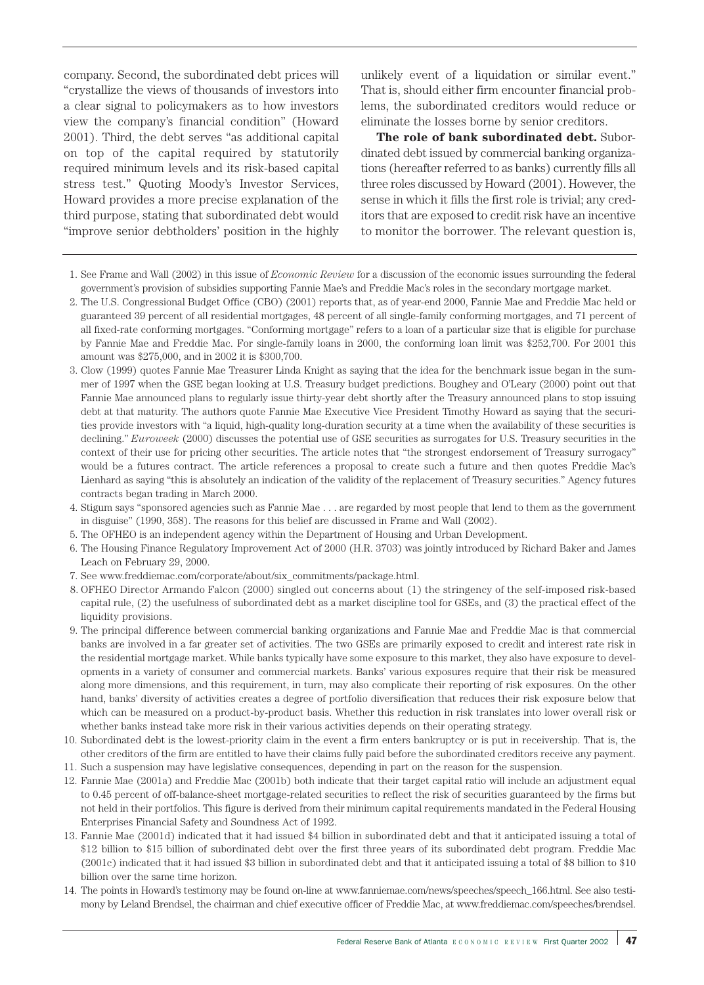company. Second, the subordinated debt prices will "crystallize the views of thousands of investors into a clear signal to policymakers as to how investors view the company's financial condition" (Howard 2001). Third, the debt serves "as additional capital on top of the capital required by statutorily required minimum levels and its risk-based capital stress test." Quoting Moody's Investor Services, Howard provides a more precise explanation of the third purpose, stating that subordinated debt would "improve senior debtholders' position in the highly

unlikely event of a liquidation or similar event." That is, should either firm encounter financial problems, the subordinated creditors would reduce or eliminate the losses borne by senior creditors.

**The role of bank subordinated debt.** Subordinated debt issued by commercial banking organizations (hereafter referred to as banks) currently fills all three roles discussed by Howard (2001). However, the sense in which it fills the first role is trivial; any creditors that are exposed to credit risk have an incentive to monitor the borrower. The relevant question is,

- 1. See Frame and Wall (2002) in this issue of *Economic Review* for a discussion of the economic issues surrounding the federal government's provision of subsidies supporting Fannie Mae's and Freddie Mac's roles in the secondary mortgage market.
- 2. The U.S. Congressional Budget Office (CBO) (2001) reports that, as of year-end 2000, Fannie Mae and Freddie Mac held or guaranteed 39 percent of all residential mortgages, 48 percent of all single-family conforming mortgages, and 71 percent of all fixed-rate conforming mortgages. "Conforming mortgage" refers to a loan of a particular size that is eligible for purchase by Fannie Mae and Freddie Mac. For single-family loans in 2000, the conforming loan limit was \$252,700. For 2001 this amount was \$275,000, and in 2002 it is \$300,700.
- 3. Clow (1999) quotes Fannie Mae Treasurer Linda Knight as saying that the idea for the benchmark issue began in the summer of 1997 when the GSE began looking at U.S. Treasury budget predictions. Boughey and O'Leary (2000) point out that Fannie Mae announced plans to regularly issue thirty-year debt shortly after the Treasury announced plans to stop issuing debt at that maturity. The authors quote Fannie Mae Executive Vice President Timothy Howard as saying that the securities provide investors with "a liquid, high-quality long-duration security at a time when the availability of these securities is declining." *Euroweek* (2000) discusses the potential use of GSE securities as surrogates for U.S. Treasury securities in the context of their use for pricing other securities. The article notes that "the strongest endorsement of Treasury surrogacy" would be a futures contract. The article references a proposal to create such a future and then quotes Freddie Mac's Lienhard as saying "this is absolutely an indication of the validity of the replacement of Treasury securities." Agency futures contracts began trading in March 2000.
- 4. Stigum says "sponsored agencies such as Fannie Mae . . . are regarded by most people that lend to them as the government in disguise" (1990, 358). The reasons for this belief are discussed in Frame and Wall (2002).
- 5. The OFHEO is an independent agency within the Department of Housing and Urban Development.
- 6. The Housing Finance Regulatory Improvement Act of 2000 (H.R. 3703) was jointly introduced by Richard Baker and James Leach on February 29, 2000.
- 7. See www.freddiemac.com/corporate/about/six\_commitments/package.html.
- 8. OFHEO Director Armando Falcon (2000) singled out concerns about (1) the stringency of the self-imposed risk-based capital rule, (2) the usefulness of subordinated debt as a market discipline tool for GSEs, and (3) the practical effect of the liquidity provisions.
- 9. The principal difference between commercial banking organizations and Fannie Mae and Freddie Mac is that commercial banks are involved in a far greater set of activities. The two GSEs are primarily exposed to credit and interest rate risk in the residential mortgage market. While banks typically have some exposure to this market, they also have exposure to developments in a variety of consumer and commercial markets. Banks' various exposures require that their risk be measured along more dimensions, and this requirement, in turn, may also complicate their reporting of risk exposures. On the other hand, banks' diversity of activities creates a degree of portfolio diversification that reduces their risk exposure below that which can be measured on a product-by-product basis. Whether this reduction in risk translates into lower overall risk or whether banks instead take more risk in their various activities depends on their operating strategy.
- 10. Subordinated debt is the lowest-priority claim in the event a firm enters bankruptcy or is put in receivership. That is, the other creditors of the firm are entitled to have their claims fully paid before the subordinated creditors receive any payment.
- 11. Such a suspension may have legislative consequences, depending in part on the reason for the suspension.
- 12. Fannie Mae (2001a) and Freddie Mac (2001b) both indicate that their target capital ratio will include an adjustment equal to 0.45 percent of off-balance-sheet mortgage-related securities to reflect the risk of securities guaranteed by the firms but not held in their portfolios. This figure is derived from their minimum capital requirements mandated in the Federal Housing Enterprises Financial Safety and Soundness Act of 1992.
- 13. Fannie Mae (2001d) indicated that it had issued \$4 billion in subordinated debt and that it anticipated issuing a total of \$12 billion to \$15 billion of subordinated debt over the first three years of its subordinated debt program. Freddie Mac (2001c) indicated that it had issued \$3 billion in subordinated debt and that it anticipated issuing a total of \$8 billion to \$10 billion over the same time horizon.
- 14. The points in Howard's testimony may be found on-line at www.fanniemae.com/news/speeches/speech\_166.html. See also testimony by Leland Brendsel, the chairman and chief executive officer of Freddie Mac, at www.freddiemac.com/speeches/brendsel.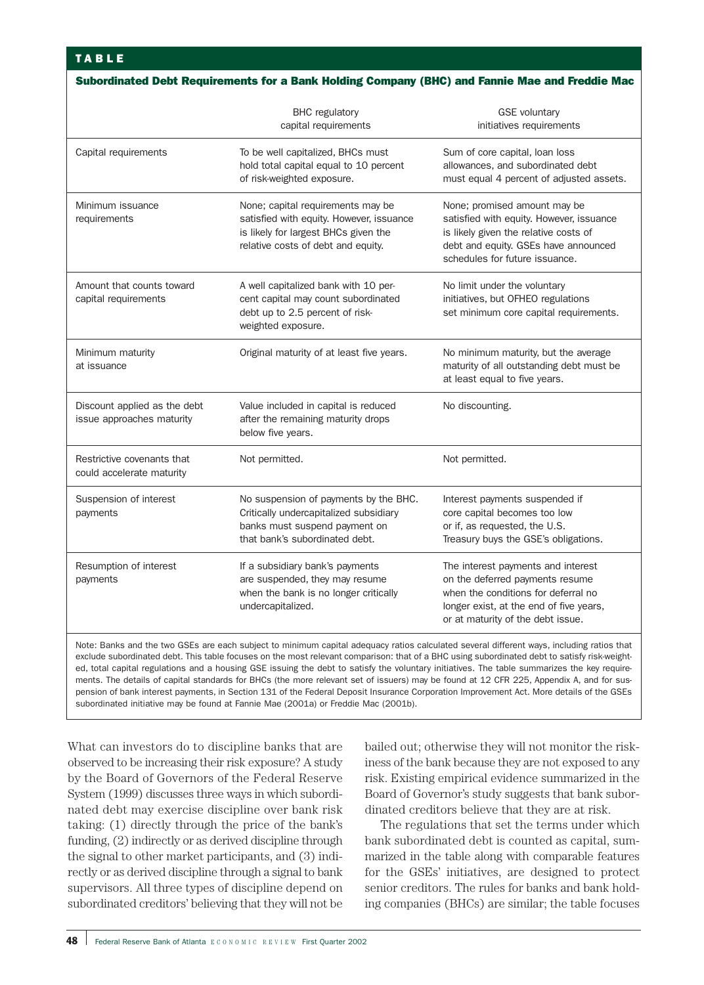|                                                                                                                                           | <b>BHC</b> regulatory<br>capital requirements                                                                                                               | <b>GSE</b> voluntary<br>initiatives requirements                                                                                                                                             |
|-------------------------------------------------------------------------------------------------------------------------------------------|-------------------------------------------------------------------------------------------------------------------------------------------------------------|----------------------------------------------------------------------------------------------------------------------------------------------------------------------------------------------|
| Capital requirements                                                                                                                      | To be well capitalized, BHCs must<br>hold total capital equal to 10 percent<br>of risk-weighted exposure.                                                   | Sum of core capital, loan loss<br>allowances, and subordinated debt<br>must equal 4 percent of adjusted assets.                                                                              |
| Minimum issuance<br>requirements                                                                                                          | None; capital requirements may be<br>satisfied with equity. However, issuance<br>is likely for largest BHCs given the<br>relative costs of debt and equity. | None; promised amount may be<br>satisfied with equity. However, issuance<br>is likely given the relative costs of<br>debt and equity. GSEs have announced<br>schedules for future issuance.  |
| Amount that counts toward<br>capital requirements                                                                                         | A well capitalized bank with 10 per-<br>cent capital may count subordinated<br>debt up to 2.5 percent of risk-<br>weighted exposure.                        | No limit under the voluntary<br>initiatives, but OFHEO regulations<br>set minimum core capital requirements.                                                                                 |
| Minimum maturity<br>at issuance                                                                                                           | Original maturity of at least five years.                                                                                                                   | No minimum maturity, but the average<br>maturity of all outstanding debt must be<br>at least equal to five years.                                                                            |
| Discount applied as the debt<br>issue approaches maturity                                                                                 | Value included in capital is reduced<br>after the remaining maturity drops<br>below five years.                                                             | No discounting.                                                                                                                                                                              |
| Restrictive covenants that<br>could accelerate maturity                                                                                   | Not permitted.                                                                                                                                              | Not permitted.                                                                                                                                                                               |
| Suspension of interest<br>payments                                                                                                        | No suspension of payments by the BHC.<br>Critically undercapitalized subsidiary<br>banks must suspend payment on<br>that bank's subordinated debt.          | Interest payments suspended if<br>core capital becomes too low<br>or if, as requested, the U.S.<br>Treasury buys the GSE's obligations.                                                      |
| Resumption of interest<br>payments                                                                                                        | If a subsidiary bank's payments<br>are suspended, they may resume<br>when the bank is no longer critically<br>undercapitalized.                             | The interest payments and interest<br>on the deferred payments resume<br>when the conditions for deferral no<br>longer exist, at the end of five years,<br>or at maturity of the debt issue. |
| Note: Banks and the two GSEs are each subject to minimum capital adequacy ratios calculated several different ways, including ratios that |                                                                                                                                                             |                                                                                                                                                                                              |

exclude subordinated debt. This table focuses on the most relevant comparison: that of a BHC using subordinated debt to satisfy risk-weighted, total capital regulations and a housing GSE issuing the debt to satisfy the voluntary initiatives. The table summarizes the key requirements. The details of capital standards for BHCs (the more relevant set of issuers) may be found at 12 CFR 225, Appendix A, and for suspension of bank interest payments, in Section 131 of the Federal Deposit Insurance Corporation Improvement Act. More details of the GSEs subordinated initiative may be found at Fannie Mae (2001a) or Freddie Mac (2001b).

What can investors do to discipline banks that are observed to be increasing their risk exposure? A study by the Board of Governors of the Federal Reserve System (1999) discusses three ways in which subordinated debt may exercise discipline over bank risk taking: (1) directly through the price of the bank's funding, (2) indirectly or as derived discipline through the signal to other market participants, and (3) indirectly or as derived discipline through a signal to bank supervisors. All three types of discipline depend on subordinated creditors' believing that they will not be bailed out; otherwise they will not monitor the riskiness of the bank because they are not exposed to any risk. Existing empirical evidence summarized in the Board of Governor's study suggests that bank subordinated creditors believe that they are at risk.

The regulations that set the terms under which bank subordinated debt is counted as capital, summarized in the table along with comparable features for the GSEs' initiatives, are designed to protect senior creditors. The rules for banks and bank holding companies (BHCs) are similar; the table focuses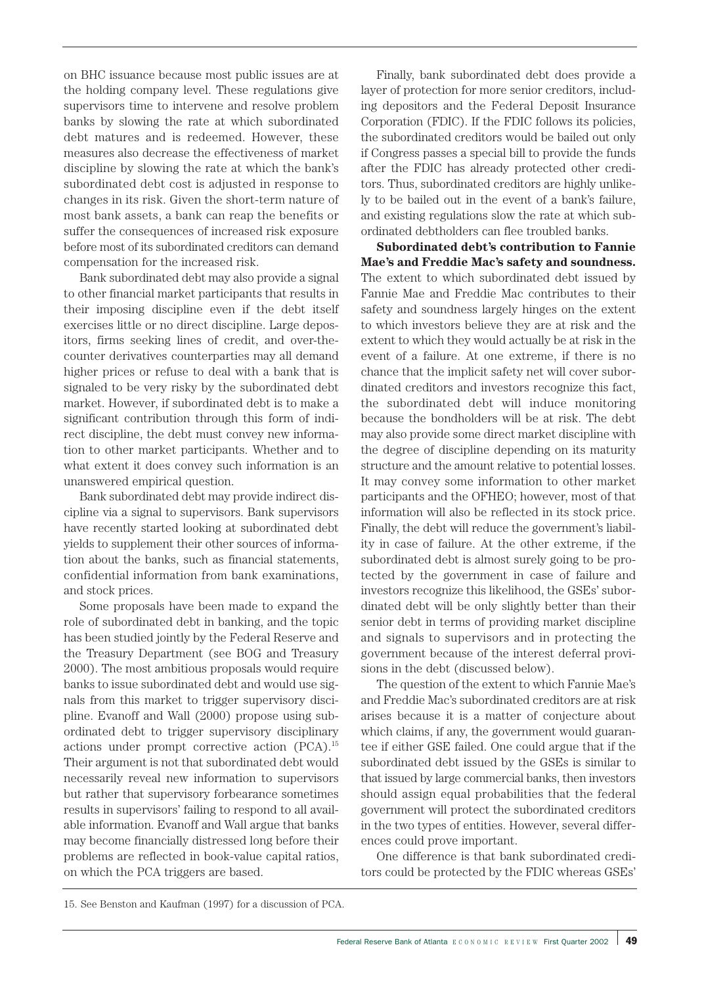on BHC issuance because most public issues are at the holding company level. These regulations give supervisors time to intervene and resolve problem banks by slowing the rate at which subordinated debt matures and is redeemed. However, these measures also decrease the effectiveness of market discipline by slowing the rate at which the bank's subordinated debt cost is adjusted in response to changes in its risk. Given the short-term nature of most bank assets, a bank can reap the benefits or suffer the consequences of increased risk exposure before most of its subordinated creditors can demand compensation for the increased risk.

Bank subordinated debt may also provide a signal to other financial market participants that results in their imposing discipline even if the debt itself exercises little or no direct discipline. Large depositors, firms seeking lines of credit, and over-thecounter derivatives counterparties may all demand higher prices or refuse to deal with a bank that is signaled to be very risky by the subordinated debt market. However, if subordinated debt is to make a significant contribution through this form of indirect discipline, the debt must convey new information to other market participants. Whether and to what extent it does convey such information is an unanswered empirical question.

Bank subordinated debt may provide indirect discipline via a signal to supervisors. Bank supervisors have recently started looking at subordinated debt yields to supplement their other sources of information about the banks, such as financial statements, confidential information from bank examinations, and stock prices.

Some proposals have been made to expand the role of subordinated debt in banking, and the topic has been studied jointly by the Federal Reserve and the Treasury Department (see BOG and Treasury 2000). The most ambitious proposals would require banks to issue subordinated debt and would use signals from this market to trigger supervisory discipline. Evanoff and Wall (2000) propose using subordinated debt to trigger supervisory disciplinary actions under prompt corrective action (PCA).15 Their argument is not that subordinated debt would necessarily reveal new information to supervisors but rather that supervisory forbearance sometimes results in supervisors' failing to respond to all available information. Evanoff and Wall argue that banks may become financially distressed long before their problems are reflected in book-value capital ratios, on which the PCA triggers are based.

Finally, bank subordinated debt does provide a layer of protection for more senior creditors, including depositors and the Federal Deposit Insurance Corporation (FDIC). If the FDIC follows its policies, the subordinated creditors would be bailed out only if Congress passes a special bill to provide the funds after the FDIC has already protected other creditors. Thus, subordinated creditors are highly unlikely to be bailed out in the event of a bank's failure, and existing regulations slow the rate at which subordinated debtholders can flee troubled banks.

**Subordinated debt's contribution to Fannie Mae's and Freddie Mac's safety and soundness.** The extent to which subordinated debt issued by Fannie Mae and Freddie Mac contributes to their safety and soundness largely hinges on the extent to which investors believe they are at risk and the extent to which they would actually be at risk in the event of a failure. At one extreme, if there is no chance that the implicit safety net will cover subordinated creditors and investors recognize this fact, the subordinated debt will induce monitoring because the bondholders will be at risk. The debt may also provide some direct market discipline with the degree of discipline depending on its maturity structure and the amount relative to potential losses. It may convey some information to other market participants and the OFHEO; however, most of that information will also be reflected in its stock price. Finally, the debt will reduce the government's liability in case of failure. At the other extreme, if the subordinated debt is almost surely going to be protected by the government in case of failure and investors recognize this likelihood, the GSEs' subordinated debt will be only slightly better than their senior debt in terms of providing market discipline and signals to supervisors and in protecting the government because of the interest deferral provisions in the debt (discussed below).

The question of the extent to which Fannie Mae's and Freddie Mac's subordinated creditors are at risk arises because it is a matter of conjecture about which claims, if any, the government would guarantee if either GSE failed. One could argue that if the subordinated debt issued by the GSEs is similar to that issued by large commercial banks, then investors should assign equal probabilities that the federal government will protect the subordinated creditors in the two types of entities. However, several differences could prove important.

One difference is that bank subordinated creditors could be protected by the FDIC whereas GSEs'

<sup>15.</sup> See Benston and Kaufman (1997) for a discussion of PCA.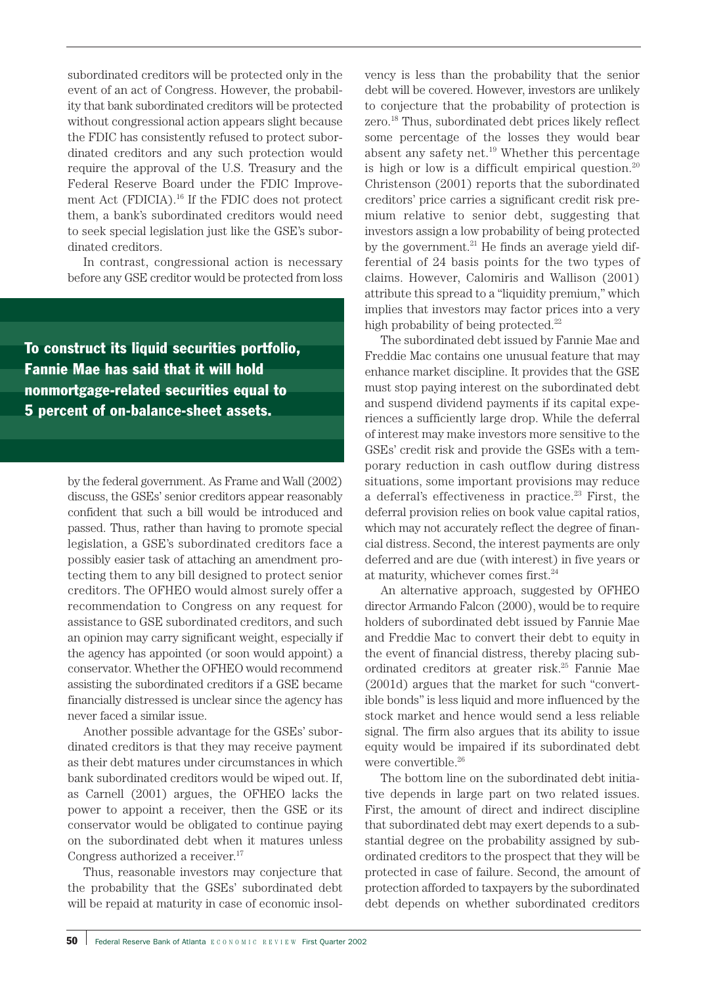subordinated creditors will be protected only in the event of an act of Congress. However, the probability that bank subordinated creditors will be protected without congressional action appears slight because the FDIC has consistently refused to protect subordinated creditors and any such protection would require the approval of the U.S. Treasury and the Federal Reserve Board under the FDIC Improvement Act (FDICIA).<sup>16</sup> If the FDIC does not protect them, a bank's subordinated creditors would need to seek special legislation just like the GSE's subordinated creditors.

In contrast, congressional action is necessary before any GSE creditor would be protected from loss

To construct its liquid securities portfolio, Fannie Mae has said that it will hold nonmortgage-related securities equal to 5 percent of on-balance-sheet assets.

> by the federal government. As Frame and Wall (2002) discuss, the GSEs' senior creditors appear reasonably confident that such a bill would be introduced and passed. Thus, rather than having to promote special legislation, a GSE's subordinated creditors face a possibly easier task of attaching an amendment protecting them to any bill designed to protect senior creditors. The OFHEO would almost surely offer a recommendation to Congress on any request for assistance to GSE subordinated creditors, and such an opinion may carry significant weight, especially if the agency has appointed (or soon would appoint) a conservator. Whether the OFHEO would recommend assisting the subordinated creditors if a GSE became financially distressed is unclear since the agency has never faced a similar issue.

> Another possible advantage for the GSEs' subordinated creditors is that they may receive payment as their debt matures under circumstances in which bank subordinated creditors would be wiped out. If, as Carnell (2001) argues, the OFHEO lacks the power to appoint a receiver, then the GSE or its conservator would be obligated to continue paying on the subordinated debt when it matures unless Congress authorized a receiver.<sup>17</sup>

> Thus, reasonable investors may conjecture that the probability that the GSEs' subordinated debt will be repaid at maturity in case of economic insol

vency is less than the probability that the senior debt will be covered. However, investors are unlikely to conjecture that the probability of protection is zero.<sup>18</sup> Thus, subordinated debt prices likely reflect some percentage of the losses they would bear absent any safety net.<sup>19</sup> Whether this percentage is high or low is a difficult empirical question.<sup>20</sup> Christenson (2001) reports that the subordinated creditors' price carries a significant credit risk premium relative to senior debt, suggesting that investors assign a low probability of being protected by the government. $^{21}$  He finds an average yield differential of 24 basis points for the two types of claims. However, Calomiris and Wallison (2001) attribute this spread to a "liquidity premium," which implies that investors may factor prices into a very high probability of being protected. $^{22}$ 

The subordinated debt issued by Fannie Mae and Freddie Mac contains one unusual feature that may enhance market discipline. It provides that the GSE must stop paying interest on the subordinated debt and suspend dividend payments if its capital experiences a sufficiently large drop. While the deferral of interest may make investors more sensitive to the GSEs' credit risk and provide the GSEs with a temporary reduction in cash outflow during distress situations, some important provisions may reduce a deferral's effectiveness in practice. $23$  First, the deferral provision relies on book value capital ratios, which may not accurately reflect the degree of financial distress. Second, the interest payments are only deferred and are due (with interest) in five years or at maturity, whichever comes first. $24$ 

An alternative approach, suggested by OFHEO director Armando Falcon (2000), would be to require holders of subordinated debt issued by Fannie Mae and Freddie Mac to convert their debt to equity in the event of financial distress, thereby placing subordinated creditors at greater risk.25 Fannie Mae (2001d) argues that the market for such "convertible bonds" is less liquid and more influenced by the stock market and hence would send a less reliable signal. The firm also argues that its ability to issue equity would be impaired if its subordinated debt were convertible.<sup>26</sup>

The bottom line on the subordinated debt initiative depends in large part on two related issues. First, the amount of direct and indirect discipline that subordinated debt may exert depends to a substantial degree on the probability assigned by subordinated creditors to the prospect that they will be protected in case of failure. Second, the amount of protection afforded to taxpayers by the subordinated debt depends on whether subordinated creditors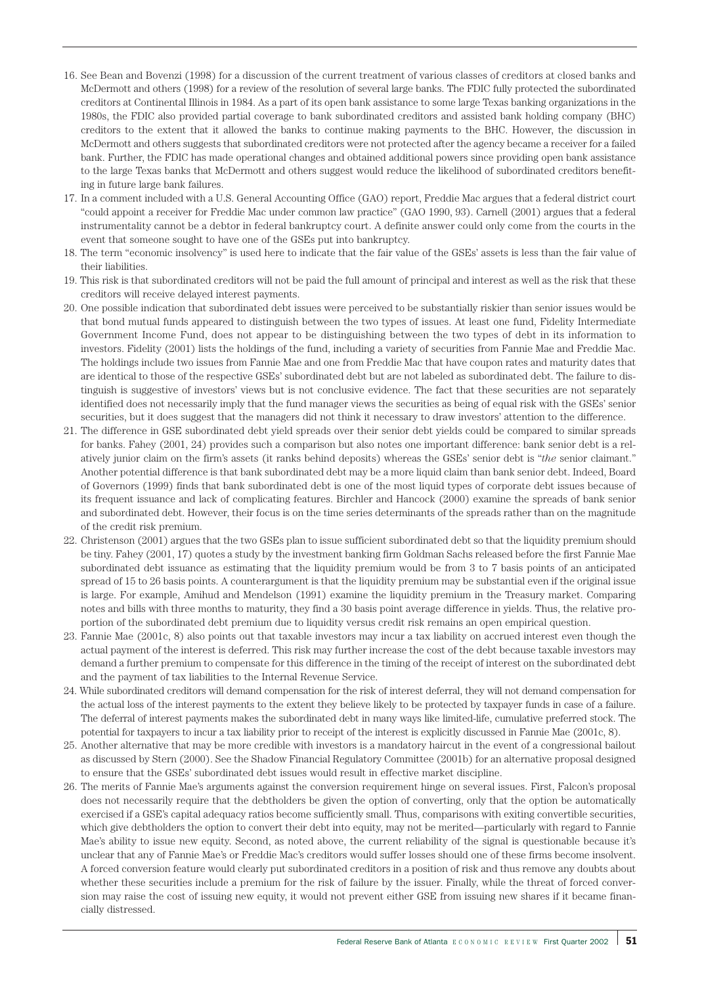- 16. See Bean and Bovenzi (1998) for a discussion of the current treatment of various classes of creditors at closed banks and McDermott and others (1998) for a review of the resolution of several large banks. The FDIC fully protected the subordinated creditors at Continental Illinois in 1984. As a part of its open bank assistance to some large Texas banking organizations in the 1980s, the FDIC also provided partial coverage to bank subordinated creditors and assisted bank holding company (BHC) creditors to the extent that it allowed the banks to continue making payments to the BHC. However, the discussion in McDermott and others suggests that subordinated creditors were not protected after the agency became a receiver for a failed bank. Further, the FDIC has made operational changes and obtained additional powers since providing open bank assistance to the large Texas banks that McDermott and others suggest would reduce the likelihood of subordinated creditors benefiting in future large bank failures.
- 17. In a comment included with a U.S. General Accounting Office (GAO) report, Freddie Mac argues that a federal district court "could appoint a receiver for Freddie Mac under common law practice" (GAO 1990, 93). Carnell (2001) argues that a federal instrumentality cannot be a debtor in federal bankruptcy court. A definite answer could only come from the courts in the event that someone sought to have one of the GSEs put into bankruptcy.
- 18. The term "economic insolvency" is used here to indicate that the fair value of the GSEs' assets is less than the fair value of their liabilities.
- 19. This risk is that subordinated creditors will not be paid the full amount of principal and interest as well as the risk that these creditors will receive delayed interest payments.
- 20. One possible indication that subordinated debt issues were perceived to be substantially riskier than senior issues would be that bond mutual funds appeared to distinguish between the two types of issues. At least one fund, Fidelity Intermediate Government Income Fund, does not appear to be distinguishing between the two types of debt in its information to investors. Fidelity (2001) lists the holdings of the fund, including a variety of securities from Fannie Mae and Freddie Mac. The holdings include two issues from Fannie Mae and one from Freddie Mac that have coupon rates and maturity dates that are identical to those of the respective GSEs' subordinated debt but are not labeled as subordinated debt. The failure to distinguish is suggestive of investors' views but is not conclusive evidence. The fact that these securities are not separately identified does not necessarily imply that the fund manager views the securities as being of equal risk with the GSEs' senior securities, but it does suggest that the managers did not think it necessary to draw investors' attention to the difference.
- 21. The difference in GSE subordinated debt yield spreads over their senior debt yields could be compared to similar spreads for banks. Fahey (2001, 24) provides such a comparison but also notes one important difference: bank senior debt is a relatively junior claim on the firm's assets (it ranks behind deposits) whereas the GSEs' senior debt is "*the* senior claimant." Another potential difference is that bank subordinated debt may be a more liquid claim than bank senior debt. Indeed, Board of Governors (1999) finds that bank subordinated debt is one of the most liquid types of corporate debt issues because of its frequent issuance and lack of complicating features. Birchler and Hancock (2000) examine the spreads of bank senior and subordinated debt. However, their focus is on the time series determinants of the spreads rather than on the magnitude of the credit risk premium.
- 22. Christenson (2001) argues that the two GSEs plan to issue sufficient subordinated debt so that the liquidity premium should be tiny. Fahey (2001, 17) quotes a study by the investment banking firm Goldman Sachs released before the first Fannie Mae subordinated debt issuance as estimating that the liquidity premium would be from 3 to 7 basis points of an anticipated spread of 15 to 26 basis points. A counterargument is that the liquidity premium may be substantial even if the original issue is large. For example, Amihud and Mendelson (1991) examine the liquidity premium in the Treasury market. Comparing notes and bills with three months to maturity, they find a 30 basis point average difference in yields. Thus, the relative proportion of the subordinated debt premium due to liquidity versus credit risk remains an open empirical question.
- 23. Fannie Mae (2001c, 8) also points out that taxable investors may incur a tax liability on accrued interest even though the actual payment of the interest is deferred. This risk may further increase the cost of the debt because taxable investors may demand a further premium to compensate for this difference in the timing of the receipt of interest on the subordinated debt and the payment of tax liabilities to the Internal Revenue Service.
- 24. While subordinated creditors will demand compensation for the risk of interest deferral, they will not demand compensation for the actual loss of the interest payments to the extent they believe likely to be protected by taxpayer funds in case of a failure. The deferral of interest payments makes the subordinated debt in many ways like limited-life, cumulative preferred stock. The potential for taxpayers to incur a tax liability prior to receipt of the interest is explicitly discussed in Fannie Mae (2001c, 8).
- 25. Another alternative that may be more credible with investors is a mandatory haircut in the event of a congressional bailout as discussed by Stern (2000). See the Shadow Financial Regulatory Committee (2001b) for an alternative proposal designed to ensure that the GSEs' subordinated debt issues would result in effective market discipline.
- 26. The merits of Fannie Mae's arguments against the conversion requirement hinge on several issues. First, Falcon's proposal does not necessarily require that the debtholders be given the option of converting, only that the option be automatically exercised if a GSE's capital adequacy ratios become sufficiently small. Thus, comparisons with exiting convertible securities, which give debtholders the option to convert their debt into equity, may not be merited—particularly with regard to Fannie Mae's ability to issue new equity. Second, as noted above, the current reliability of the signal is questionable because it's unclear that any of Fannie Mae's or Freddie Mac's creditors would suffer losses should one of these firms become insolvent. A forced conversion feature would clearly put subordinated creditors in a position of risk and thus remove any doubts about whether these securities include a premium for the risk of failure by the issuer. Finally, while the threat of forced conversion may raise the cost of issuing new equity, it would not prevent either GSE from issuing new shares if it became financially distressed.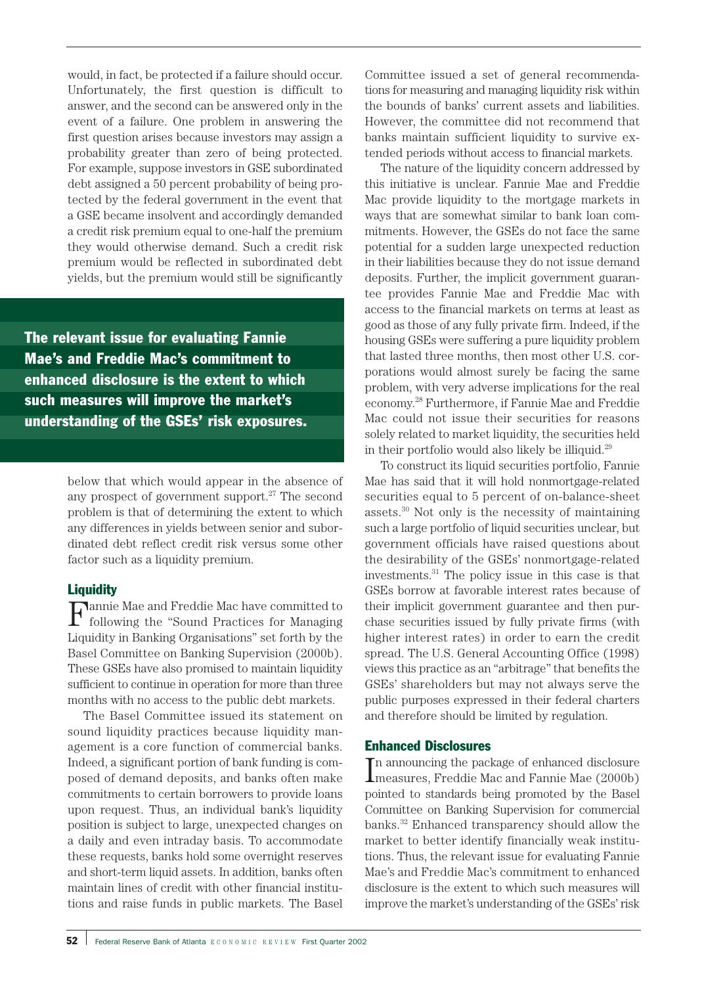would, in fact, be protected if a failure should occur. Unfortunately, the first question is difficult to answer, and the second can be answered only in the event of a failure. One problem in answering the first question arises because investors may assign a probability greater than zero of being protected. For example, suppose investors in GSE subordinated debt assigned a 50 percent probability of being protected by the federal government in the event that a GSE became insolvent and accordingly demanded a credit risk premium equal to one-half the premium they would otherwise demand. Such a credit risk premium would be reflected in subordinated debt yields, but the premium would still be significantly

The relevant issue for evaluating Fannie Mae's and Freddie Mac's commitment to enhanced disclosure is the extent to which such measures will improve the market's understanding of the GSEs' risk exposures.

> below that which would appear in the absence of any prospect of government support.<sup>27</sup> The second problem is that of determining the extent to which any differences in yields between senior and subordinated debt reflect credit risk versus some other factor such as a liquidity premium.

#### **Liquidity**

 ${\bf F}$  following the "Sound Practices for Managing"<br>  ${\bf F}$ Liquidity in Banking Organisations" set forth by the Basel Committee on Banking Supervision (2000b). These GSEs have also promised to maintain liquidity sufficient to continue in operation for more than three months with no access to the public debt markets.

The Basel Committee issued its statement on sound liquidity practices because liquidity management is a core function of commercial banks. Indeed, a significant portion of bank funding is composed of demand deposits, and banks often make commitments to certain borrowers to provide loans upon request. Thus, an individual bank's liquidity position is subject to large, unexpected changes on a daily and even intraday basis. To accommodate these requests, banks hold some overnight reserves and short-term liquid assets. In addition, banks often maintain lines of credit with other financial institutions and raise funds in public markets. The Basel

Committee issued a set of general recommendations for measuring and managing liquidity risk within the bounds of banks' current assets and liabilities. However, the committee did not recommend that banks maintain sufficient liquidity to survive extended periods without access to financial markets.

The nature of the liquidity concern addressed by this initiative is unclear. Fannie Mae and Freddie Mac provide liquidity to the mortgage markets in ways that are somewhat similar to bank loan commitments. However, the GSEs do not face the same potential for a sudden large unexpected reduction in their liabilities because they do not issue demand deposits. Further, the implicit government guarantee provides Fannie Mae and Freddie Mac with access to the financial markets on terms at least as good as those of any fully private firm. Indeed, if the housing GSEs were suffering a pure liquidity problem that lasted three months, then most other U.S. corporations would almost surely be facing the same problem, with very adverse implications for the real economy.28 Furthermore, if Fannie Mae and Freddie Mac could not issue their securities for reasons solely related to market liquidity, the securities held in their portfolio would also likely be illiquid.29

To construct its liquid securities portfolio, Fannie Mae has said that it will hold nonmortgage-related securities equal to 5 percent of on-balance-sheet assets. $30$  Not only is the necessity of maintaining such a large portfolio of liquid securities unclear, but government officials have raised questions about the desirability of the GSEs' nonmortgage-related investments.31 The policy issue in this case is that GSEs borrow at favorable interest rates because of their implicit government guarantee and then purchase securities issued by fully private firms (with higher interest rates) in order to earn the credit spread. The U.S. General Accounting Office (1998) views this practice as an "arbitrage" that benefits the GSEs' shareholders but may not always serve the public purposes expressed in their federal charters and therefore should be limited by regulation.

### Enhanced Disclosures

 $\pmb{\Gamma}$  announcing the package of enhanced disclosure measures, Freddie Mac and Fannie Mae (2000b) n announcing the package of enhanced disclosure pointed to standards being promoted by the Basel Committee on Banking Supervision for commercial banks.32 Enhanced transparency should allow the market to better identify financially weak institutions. Thus, the relevant issue for evaluating Fannie Mae's and Freddie Mac's commitment to enhanced disclosure is the extent to which such measures will improve the market's understanding of the GSEs' risk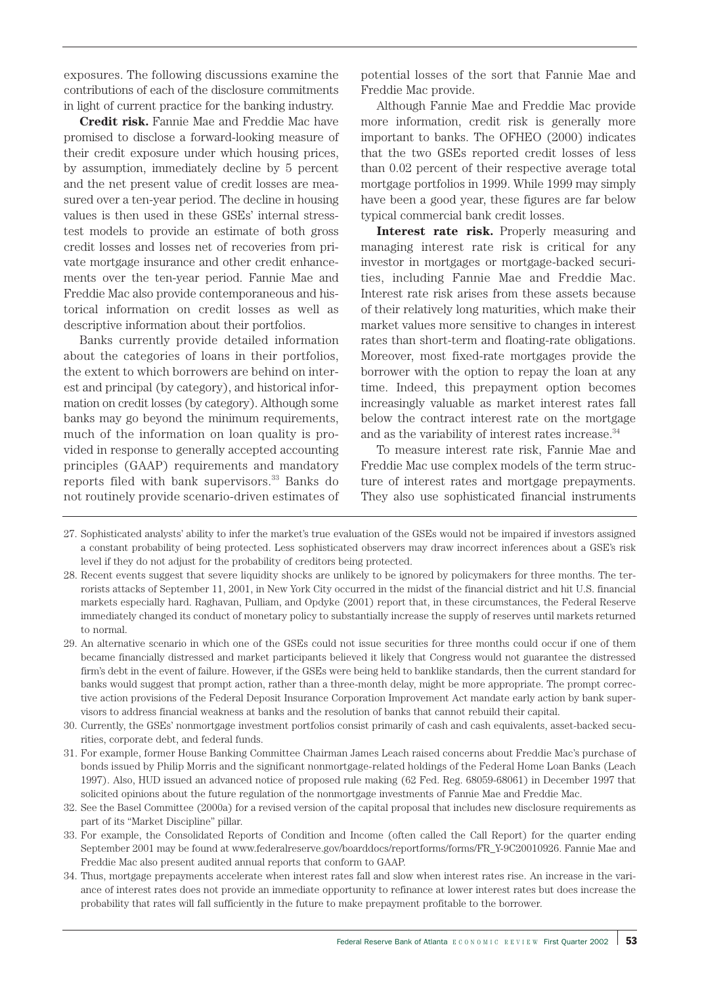exposures. The following discussions examine the contributions of each of the disclosure commitments in light of current practice for the banking industry.

**Credit risk.** Fannie Mae and Freddie Mac have promised to disclose a forward-looking measure of their credit exposure under which housing prices, by assumption, immediately decline by 5 percent and the net present value of credit losses are measured over a ten-year period. The decline in housing values is then used in these GSEs' internal stresstest models to provide an estimate of both gross credit losses and losses net of recoveries from private mortgage insurance and other credit enhancements over the ten-year period. Fannie Mae and Freddie Mac also provide contemporaneous and historical information on credit losses as well as descriptive information about their portfolios.

Banks currently provide detailed information about the categories of loans in their portfolios, the extent to which borrowers are behind on interest and principal (by category), and historical information on credit losses (by category). Although some banks may go beyond the minimum requirements, much of the information on loan quality is provided in response to generally accepted accounting principles (GAAP) requirements and mandatory reports filed with bank supervisors.<sup>33</sup> Banks do not routinely provide scenario-driven estimates of

potential losses of the sort that Fannie Mae and Freddie Mac provide.

Although Fannie Mae and Freddie Mac provide more information, credit risk is generally more important to banks. The OFHEO (2000) indicates that the two GSEs reported credit losses of less than 0.02 percent of their respective average total mortgage portfolios in 1999. While 1999 may simply have been a good year, these figures are far below typical commercial bank credit losses.

**Interest rate risk.** Properly measuring and managing interest rate risk is critical for any investor in mortgages or mortgage-backed securities, including Fannie Mae and Freddie Mac. Interest rate risk arises from these assets because of their relatively long maturities, which make their market values more sensitive to changes in interest rates than short-term and floating-rate obligations. Moreover, most fixed-rate mortgages provide the borrower with the option to repay the loan at any time. Indeed, this prepayment option becomes increasingly valuable as market interest rates fall below the contract interest rate on the mortgage and as the variability of interest rates increase.<sup>34</sup>

To measure interest rate risk, Fannie Mae and Freddie Mac use complex models of the term structure of interest rates and mortgage prepayments. They also use sophisticated financial instruments

- 27. Sophisticated analysts' ability to infer the market's true evaluation of the GSEs would not be impaired if investors assigned a constant probability of being protected. Less sophisticated observers may draw incorrect inferences about a GSE's risk level if they do not adjust for the probability of creditors being protected.
- 28. Recent events suggest that severe liquidity shocks are unlikely to be ignored by policymakers for three months. The terrorists attacks of September 11, 2001, in New York City occurred in the midst of the financial district and hit U.S. financial markets especially hard. Raghavan, Pulliam, and Opdyke (2001) report that, in these circumstances, the Federal Reserve immediately changed its conduct of monetary policy to substantially increase the supply of reserves until markets returned to normal.
- 29. An alternative scenario in which one of the GSEs could not issue securities for three months could occur if one of them became financially distressed and market participants believed it likely that Congress would not guarantee the distressed firm's debt in the event of failure. However, if the GSEs were being held to banklike standards, then the current standard for banks would suggest that prompt action, rather than a three-month delay, might be more appropriate. The prompt corrective action provisions of the Federal Deposit Insurance Corporation Improvement Act mandate early action by bank supervisors to address financial weakness at banks and the resolution of banks that cannot rebuild their capital.
- 30. Currently, the GSEs' nonmortgage investment portfolios consist primarily of cash and cash equivalents, asset-backed securities, corporate debt, and federal funds.
- 31. For example, former House Banking Committee Chairman James Leach raised concerns about Freddie Mac's purchase of bonds issued by Philip Morris and the significant nonmortgage-related holdings of the Federal Home Loan Banks (Leach 1997). Also, HUD issued an advanced notice of proposed rule making (62 Fed. Reg. 68059-68061) in December 1997 that solicited opinions about the future regulation of the nonmortgage investments of Fannie Mae and Freddie Mac.
- 32. See the Basel Committee (2000a) for a revised version of the capital proposal that includes new disclosure requirements as part of its "Market Discipline" pillar.
- 33. For example, the Consolidated Reports of Condition and Income (often called the Call Report) for the quarter ending September 2001 may be found at www.federalreserve.gov/boarddocs/reportforms/forms/FR\_Y-9C20010926. Fannie Mae and Freddie Mac also present audited annual reports that conform to GAAP.
- 34. Thus, mortgage prepayments accelerate when interest rates fall and slow when interest rates rise. An increase in the variance of interest rates does not provide an immediate opportunity to refinance at lower interest rates but does increase the probability that rates will fall sufficiently in the future to make prepayment profitable to the borrower.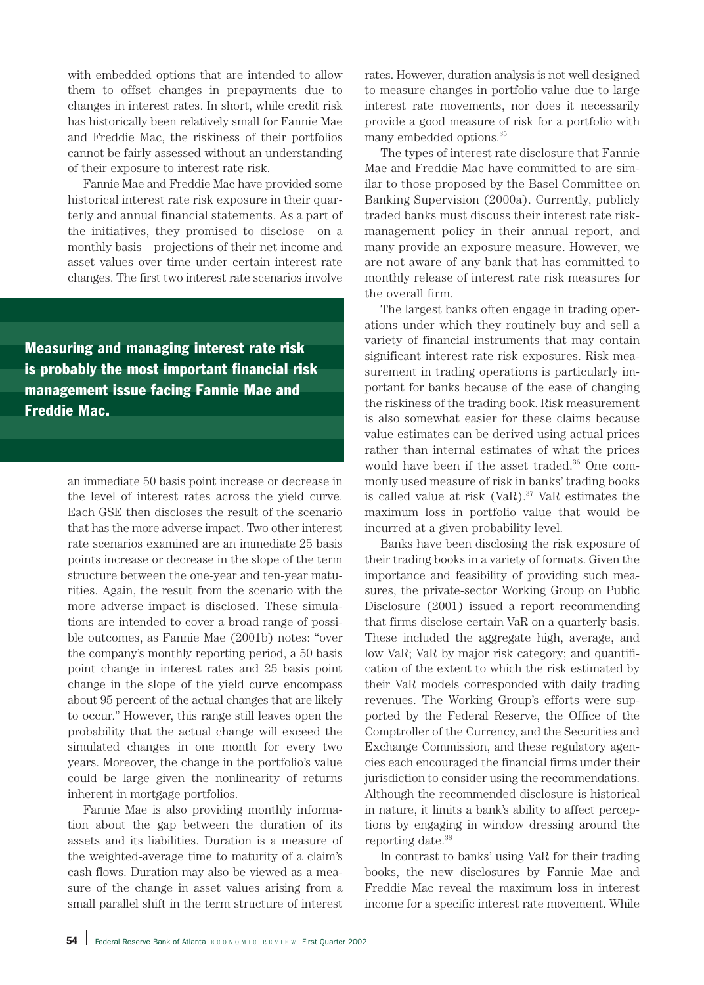with embedded options that are intended to allow them to offset changes in prepayments due to changes in interest rates. In short, while credit risk has historically been relatively small for Fannie Mae and Freddie Mac, the riskiness of their portfolios cannot be fairly assessed without an understanding of their exposure to interest rate risk.

Fannie Mae and Freddie Mac have provided some historical interest rate risk exposure in their quarterly and annual financial statements. As a part of the initiatives, they promised to disclose—on a monthly basis—projections of their net income and asset values over time under certain interest rate changes. The first two interest rate scenarios involve

Measuring and managing interest rate risk is probably the most important financial risk management issue facing Fannie Mae and Freddie Mac.

> an immediate 50 basis point increase or decrease in the level of interest rates across the yield curve. Each GSE then discloses the result of the scenario that has the more adverse impact. Two other interest rate scenarios examined are an immediate 25 basis points increase or decrease in the slope of the term structure between the one-year and ten-year maturities. Again, the result from the scenario with the more adverse impact is disclosed. These simulations are intended to cover a broad range of possible outcomes, as Fannie Mae (2001b) notes: "over the company's monthly reporting period, a 50 basis point change in interest rates and 25 basis point change in the slope of the yield curve encompass about 95 percent of the actual changes that are likely to occur." However, this range still leaves open the probability that the actual change will exceed the simulated changes in one month for every two years. Moreover, the change in the portfolio's value could be large given the nonlinearity of returns inherent in mortgage portfolios.

> Fannie Mae is also providing monthly information about the gap between the duration of its assets and its liabilities. Duration is a measure of the weighted-average time to maturity of a claim's cash flows. Duration may also be viewed as a measure of the change in asset values arising from a small parallel shift in the term structure of interest

rates. However, duration analysis is not well designed to measure changes in portfolio value due to large interest rate movements, nor does it necessarily provide a good measure of risk for a portfolio with many embedded options.<sup>35</sup>

The types of interest rate disclosure that Fannie Mae and Freddie Mac have committed to are similar to those proposed by the Basel Committee on Banking Supervision (2000a). Currently, publicly traded banks must discuss their interest rate riskmanagement policy in their annual report, and many provide an exposure measure. However, we are not aware of any bank that has committed to monthly release of interest rate risk measures for the overall firm.

The largest banks often engage in trading operations under which they routinely buy and sell a variety of financial instruments that may contain significant interest rate risk exposures. Risk measurement in trading operations is particularly important for banks because of the ease of changing the riskiness of the trading book. Risk measurement is also somewhat easier for these claims because value estimates can be derived using actual prices rather than internal estimates of what the prices would have been if the asset traded.<sup>36</sup> One commonly used measure of risk in banks' trading books is called value at risk  $(VaR).^{37}$  VaR estimates the maximum loss in portfolio value that would be incurred at a given probability level.

Banks have been disclosing the risk exposure of their trading books in a variety of formats. Given the importance and feasibility of providing such measures, the private-sector Working Group on Public Disclosure (2001) issued a report recommending that firms disclose certain VaR on a quarterly basis. These included the aggregate high, average, and low VaR; VaR by major risk category; and quantification of the extent to which the risk estimated by their VaR models corresponded with daily trading revenues. The Working Group's efforts were supported by the Federal Reserve, the Office of the Comptroller of the Currency, and the Securities and Exchange Commission, and these regulatory agencies each encouraged the financial firms under their jurisdiction to consider using the recommendations. Although the recommended disclosure is historical in nature, it limits a bank's ability to affect perceptions by engaging in window dressing around the reporting date.38

In contrast to banks' using VaR for their trading books, the new disclosures by Fannie Mae and Freddie Mac reveal the maximum loss in interest income for a specific interest rate movement. While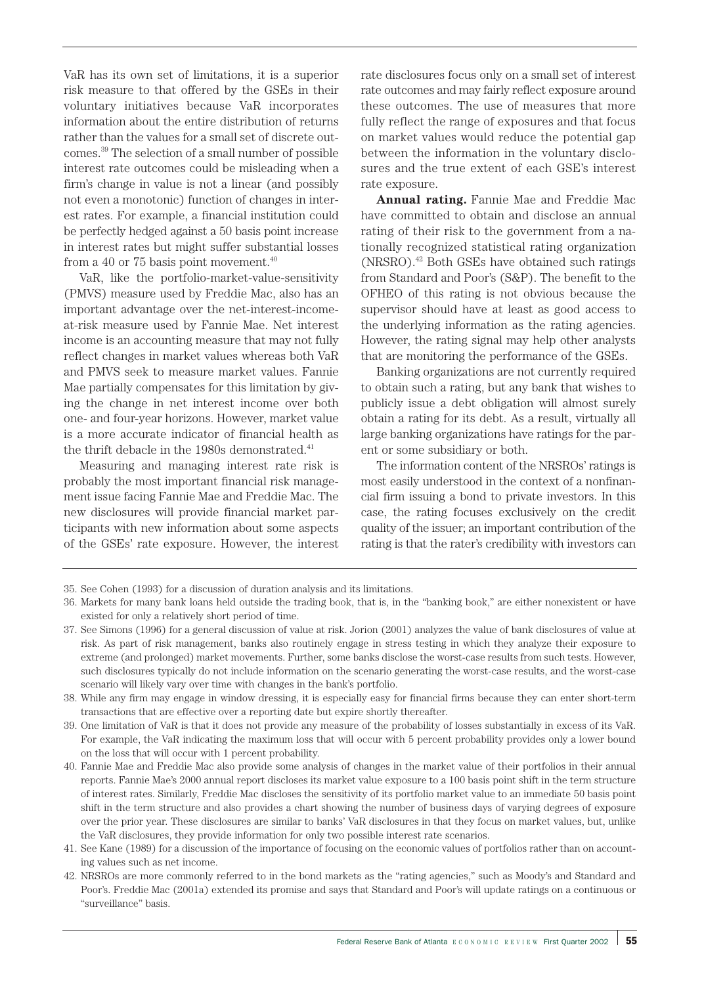VaR has its own set of limitations, it is a superior risk measure to that offered by the GSEs in their voluntary initiatives because VaR incorporates information about the entire distribution of returns rather than the values for a small set of discrete outcomes.39 The selection of a small number of possible interest rate outcomes could be misleading when a firm's change in value is not a linear (and possibly not even a monotonic) function of changes in interest rates. For example, a financial institution could be perfectly hedged against a 50 basis point increase in interest rates but might suffer substantial losses from a 40 or 75 basis point movement. $40$ 

VaR, like the portfolio-market-value-sensitivity (PMVS) measure used by Freddie Mac, also has an important advantage over the net-interest-incomeat-risk measure used by Fannie Mae. Net interest income is an accounting measure that may not fully reflect changes in market values whereas both VaR and PMVS seek to measure market values. Fannie Mae partially compensates for this limitation by giving the change in net interest income over both one- and four-year horizons. However, market value is a more accurate indicator of financial health as the thrift debacle in the 1980s demonstrated.<sup>41</sup>

Measuring and managing interest rate risk is probably the most important financial risk management issue facing Fannie Mae and Freddie Mac. The new disclosures will provide financial market participants with new information about some aspects of the GSEs' rate exposure. However, the interest

rate disclosures focus only on a small set of interest rate outcomes and may fairly reflect exposure around these outcomes. The use of measures that more fully reflect the range of exposures and that focus on market values would reduce the potential gap between the information in the voluntary disclosures and the true extent of each GSE's interest rate exposure.

**Annual rating.** Fannie Mae and Freddie Mac have committed to obtain and disclose an annual rating of their risk to the government from a nationally recognized statistical rating organization (NRSRO).42 Both GSEs have obtained such ratings from Standard and Poor's (S&P). The benefit to the OFHEO of this rating is not obvious because the supervisor should have at least as good access to the underlying information as the rating agencies. However, the rating signal may help other analysts that are monitoring the performance of the GSEs.

Banking organizations are not currently required to obtain such a rating, but any bank that wishes to publicly issue a debt obligation will almost surely obtain a rating for its debt. As a result, virtually all large banking organizations have ratings for the parent or some subsidiary or both.

The information content of the NRSROs' ratings is most easily understood in the context of a nonfinancial firm issuing a bond to private investors. In this case, the rating focuses exclusively on the credit quality of the issuer; an important contribution of the rating is that the rater's credibility with investors can

35. See Cohen (1993) for a discussion of duration analysis and its limitations.

<sup>36.</sup> Markets for many bank loans held outside the trading book, that is, in the "banking book," are either nonexistent or have existed for only a relatively short period of time.

<sup>37.</sup> See Simons (1996) for a general discussion of value at risk. Jorion (2001) analyzes the value of bank disclosures of value at risk. As part of risk management, banks also routinely engage in stress testing in which they analyze their exposure to extreme (and prolonged) market movements. Further, some banks disclose the worst-case results from such tests. However, such disclosures typically do not include information on the scenario generating the worst-case results, and the worst-case scenario will likely vary over time with changes in the bank's portfolio.

<sup>38.</sup> While any firm may engage in window dressing, it is especially easy for financial firms because they can enter short-term transactions that are effective over a reporting date but expire shortly thereafter.

<sup>39.</sup> One limitation of VaR is that it does not provide any measure of the probability of losses substantially in excess of its VaR. For example, the VaR indicating the maximum loss that will occur with 5 percent probability provides only a lower bound on the loss that will occur with 1 percent probability.

<sup>40.</sup> Fannie Mae and Freddie Mac also provide some analysis of changes in the market value of their portfolios in their annual reports. Fannie Mae's 2000 annual report discloses its market value exposure to a 100 basis point shift in the term structure of interest rates. Similarly, Freddie Mac discloses the sensitivity of its portfolio market value to an immediate 50 basis point shift in the term structure and also provides a chart showing the number of business days of varying degrees of exposure over the prior year. These disclosures are similar to banks' VaR disclosures in that they focus on market values, but, unlike the VaR disclosures, they provide information for only two possible interest rate scenarios.

<sup>41.</sup> See Kane (1989) for a discussion of the importance of focusing on the economic values of portfolios rather than on accounting values such as net income.

<sup>42.</sup> NRSROs are more commonly referred to in the bond markets as the "rating agencies," such as Moody's and Standard and Poor's. Freddie Mac (2001a) extended its promise and says that Standard and Poor's will update ratings on a continuous or "surveillance" basis.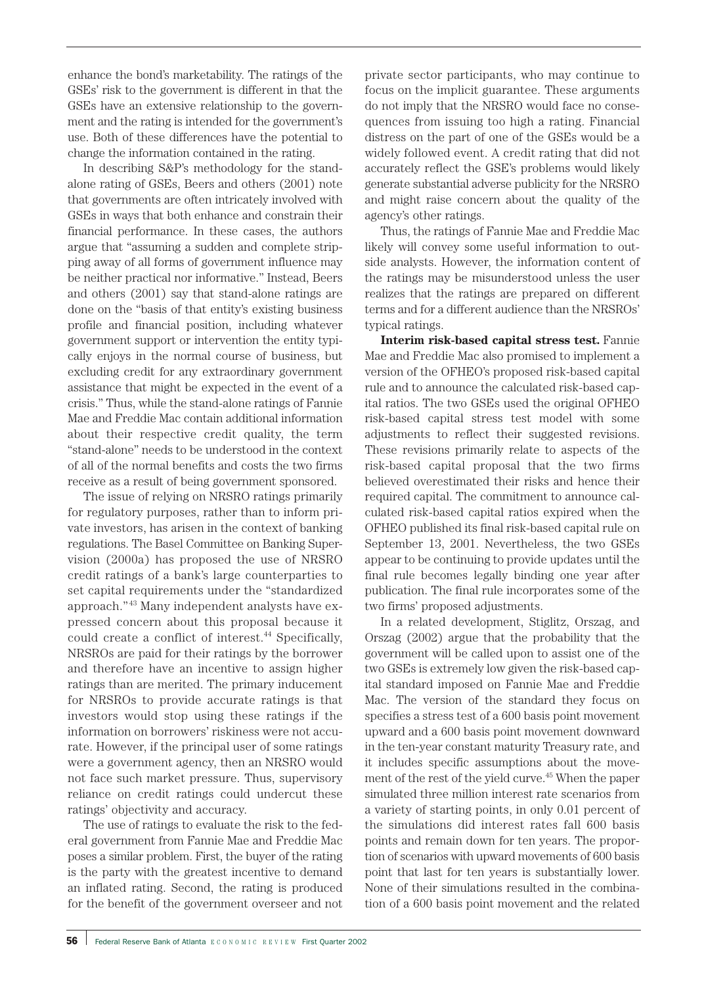enhance the bond's marketability. The ratings of the GSEs' risk to the government is different in that the GSEs have an extensive relationship to the government and the rating is intended for the government's use. Both of these differences have the potential to change the information contained in the rating.

In describing S&P's methodology for the standalone rating of GSEs, Beers and others (2001) note that governments are often intricately involved with GSEs in ways that both enhance and constrain their financial performance. In these cases, the authors argue that "assuming a sudden and complete stripping away of all forms of government influence may be neither practical nor informative." Instead, Beers and others (2001) say that stand-alone ratings are done on the "basis of that entity's existing business profile and financial position, including whatever government support or intervention the entity typically enjoys in the normal course of business, but excluding credit for any extraordinary government assistance that might be expected in the event of a crisis." Thus, while the stand-alone ratings of Fannie Mae and Freddie Mac contain additional information about their respective credit quality, the term "stand-alone" needs to be understood in the context of all of the normal benefits and costs the two firms receive as a result of being government sponsored.

The issue of relying on NRSRO ratings primarily for regulatory purposes, rather than to inform private investors, has arisen in the context of banking regulations. The Basel Committee on Banking Supervision (2000a) has proposed the use of NRSRO credit ratings of a bank's large counterparties to set capital requirements under the "standardized approach." <sup>43</sup> Many independent analysts have expressed concern about this proposal because it could create a conflict of interest.<sup>44</sup> Specifically, NRSROs are paid for their ratings by the borrower and therefore have an incentive to assign higher ratings than are merited. The primary inducement for NRSROs to provide accurate ratings is that investors would stop using these ratings if the information on borrowers' riskiness were not accurate. However, if the principal user of some ratings were a government agency, then an NRSRO would not face such market pressure. Thus, supervisory reliance on credit ratings could undercut these ratings' objectivity and accuracy.

The use of ratings to evaluate the risk to the federal government from Fannie Mae and Freddie Mac poses a similar problem. First, the buyer of the rating is the party with the greatest incentive to demand an inflated rating. Second, the rating is produced for the benefit of the government overseer and not

private sector participants, who may continue to focus on the implicit guarantee. These arguments do not imply that the NRSRO would face no consequences from issuing too high a rating. Financial distress on the part of one of the GSEs would be a widely followed event. A credit rating that did not accurately reflect the GSE's problems would likely generate substantial adverse publicity for the NRSRO and might raise concern about the quality of the agency's other ratings.

Thus, the ratings of Fannie Mae and Freddie Mac likely will convey some useful information to outside analysts. However, the information content of the ratings may be misunderstood unless the user realizes that the ratings are prepared on different terms and for a different audience than the NRSROs' typical ratings.

**Interim risk-based capital stress test.** Fannie Mae and Freddie Mac also promised to implement a version of the OFHEO's proposed risk-based capital rule and to announce the calculated risk-based capital ratios. The two GSEs used the original OFHEO risk-based capital stress test model with some adjustments to reflect their suggested revisions. These revisions primarily relate to aspects of the risk-based capital proposal that the two firms believed overestimated their risks and hence their required capital. The commitment to announce calculated risk-based capital ratios expired when the OFHEO published its final risk-based capital rule on September 13, 2001. Nevertheless, the two GSEs appear to be continuing to provide updates until the final rule becomes legally binding one year after publication. The final rule incorporates some of the two firms' proposed adjustments.

In a related development, Stiglitz, Orszag, and Orszag (2002) argue that the probability that the government will be called upon to assist one of the two GSEs is extremely low given the risk-based capital standard imposed on Fannie Mae and Freddie Mac. The version of the standard they focus on specifies a stress test of a 600 basis point movement upward and a 600 basis point movement downward in the ten-year constant maturity Treasury rate, and it includes specific assumptions about the movement of the rest of the yield curve.45 When the paper simulated three million interest rate scenarios from a variety of starting points, in only 0.01 percent of the simulations did interest rates fall 600 basis points and remain down for ten years. The proportion of scenarios with upward movements of 600 basis point that last for ten years is substantially lower. None of their simulations resulted in the combination of a 600 basis point movement and the related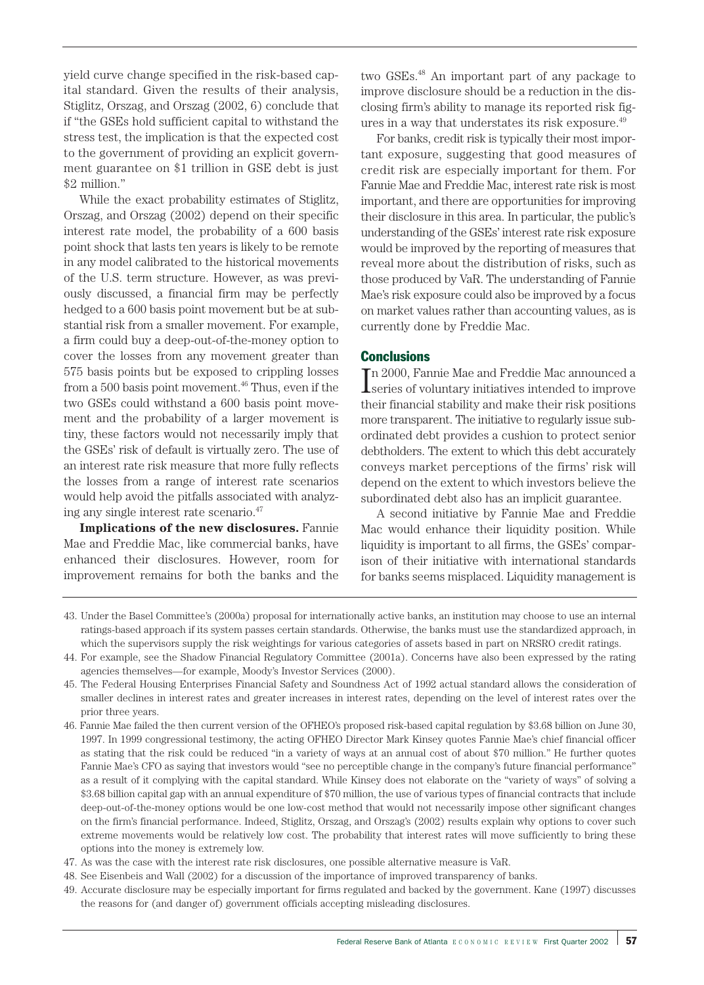yield curve change specified in the risk-based capital standard. Given the results of their analysis, Stiglitz, Orszag, and Orszag (2002, 6) conclude that if "the GSEs hold sufficient capital to withstand the stress test, the implication is that the expected cost to the government of providing an explicit government guarantee on \$1 trillion in GSE debt is just \$2 million."

While the exact probability estimates of Stiglitz, Orszag, and Orszag (2002) depend on their specific interest rate model, the probability of a 600 basis point shock that lasts ten years is likely to be remote in any model calibrated to the historical movements of the U.S. term structure. However, as was previously discussed, a financial firm may be perfectly hedged to a 600 basis point movement but be at substantial risk from a smaller movement. For example, a firm could buy a deep-out-of-the-money option to cover the losses from any movement greater than 575 basis points but be exposed to crippling losses from a  $500$  basis point movement.<sup>46</sup> Thus, even if the two GSEs could withstand a 600 basis point movement and the probability of a larger movement is tiny, these factors would not necessarily imply that the GSEs' risk of default is virtually zero. The use of an interest rate risk measure that more fully reflects the losses from a range of interest rate scenarios would help avoid the pitfalls associated with analyzing any single interest rate scenario.47

**Implications of the new disclosures.** Fannie Mae and Freddie Mac, like commercial banks, have enhanced their disclosures. However, room for improvement remains for both the banks and the two GSEs.48 An important part of any package to improve disclosure should be a reduction in the disclosing firm's ability to manage its reported risk figures in a way that understates its risk exposure.<sup>49</sup>

For banks, credit risk is typically their most important exposure, suggesting that good measures of credit risk are especially important for them. For Fannie Mae and Freddie Mac, interest rate risk is most important, and there are opportunities for improving their disclosure in this area. In particular, the public's understanding of the GSEs' interest rate risk exposure would be improved by the reporting of measures that reveal more about the distribution of risks, such as those produced by VaR. The understanding of Fannie Mae's risk exposure could also be improved by a focus on market values rather than accounting values, as is currently done by Freddie Mac.

#### **Conclusions**

I n 2000, Fannie Mae and Freddie Mac announced a series of voluntary initiatives intended to improve their financial stability and make their risk positions more transparent. The initiative to regularly issue subordinated debt provides a cushion to protect senior debtholders. The extent to which this debt accurately conveys market perceptions of the firms' risk will depend on the extent to which investors believe the subordinated debt also has an implicit guarantee.

A second initiative by Fannie Mae and Freddie Mac would enhance their liquidity position. While liquidity is important to all firms, the GSEs' comparison of their initiative with international standards for banks seems misplaced. Liquidity management is

49. Accurate disclosure may be especially important for firms regulated and backed by the government. Kane (1997) discusses the reasons for (and danger of) government officials accepting misleading disclosures.

<sup>43.</sup> Under the Basel Committee's (2000a) proposal for internationally active banks, an institution may choose to use an internal ratings-based approach if its system passes certain standards. Otherwise, the banks must use the standardized approach, in which the supervisors supply the risk weightings for various categories of assets based in part on NRSRO credit ratings.

<sup>44.</sup> For example, see the Shadow Financial Regulatory Committee (2001a). Concerns have also been expressed by the rating agencies themselves—for example, Moody's Investor Services (2000).

<sup>45.</sup> The Federal Housing Enterprises Financial Safety and Soundness Act of 1992 actual standard allows the consideration of smaller declines in interest rates and greater increases in interest rates, depending on the level of interest rates over the prior three years.

<sup>46.</sup> Fannie Mae failed the then current version of the OFHEO's proposed risk-based capital regulation by \$3.68 billion on June 30, 1997. In 1999 congressional testimony, the acting OFHEO Director Mark Kinsey quotes Fannie Mae's chief financial officer as stating that the risk could be reduced "in a variety of ways at an annual cost of about \$70 million." He further quotes Fannie Mae's CFO as saying that investors would "see no perceptible change in the company's future financial performance" as a result of it complying with the capital standard. While Kinsey does not elaborate on the "variety of ways" of solving a \$3.68 billion capital gap with an annual expenditure of \$70 million, the use of various types of financial contracts that include deep-out-of-the-money options would be one low-cost method that would not necessarily impose other significant changes on the firm's financial performance. Indeed, Stiglitz, Orszag, and Orszag's (2002) results explain why options to cover such extreme movements would be relatively low cost. The probability that interest rates will move sufficiently to bring these options into the money is extremely low.

<sup>47.</sup> As was the case with the interest rate risk disclosures, one possible alternative measure is VaR.

<sup>48.</sup> See Eisenbeis and Wall (2002) for a discussion of the importance of improved transparency of banks.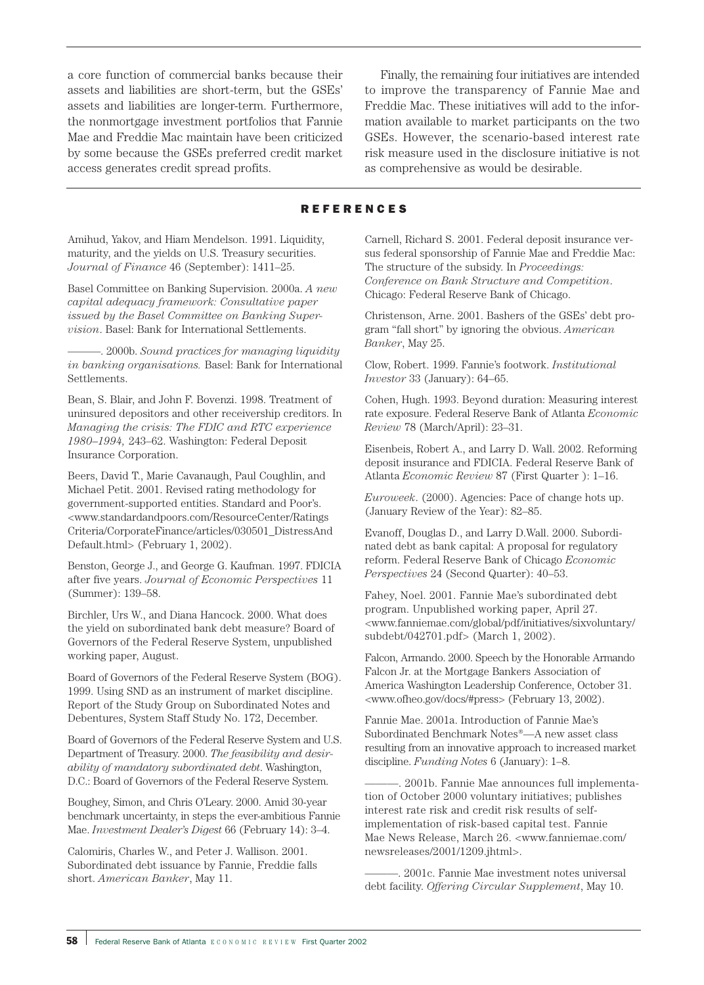a core function of commercial banks because their assets and liabilities are short-term, but the GSEs' assets and liabilities are longer-term. Furthermore, the nonmortgage investment portfolios that Fannie Mae and Freddie Mac maintain have been criticized by some because the GSEs preferred credit market access generates credit spread profits.

Finally, the remaining four initiatives are intended to improve the transparency of Fannie Mae and Freddie Mac. These initiatives will add to the information available to market participants on the two GSEs. However, the scenario-based interest rate risk measure used in the disclosure initiative is not as comprehensive as would be desirable.

#### REFERENCES

Amihud, Yakov, and Hiam Mendelson. 1991. Liquidity, maturity, and the yields on U.S. Treasury securities. *Journal of Finance* 46 (September): 1411–25.

Basel Committee on Banking Supervision. 2000a. *A new capital adequacy framework: Consultative paper issued by the Basel Committee on Banking Supervision*. Basel: Bank for International Settlements.

———. 2000b. *Sound practices for managing liquidity in banking organisations.* Basel: Bank for International Settlements.

Bean, S. Blair, and John F. Bovenzi. 1998. Treatment of uninsured depositors and other receivership creditors. In *Managing the crisis: The FDIC and RTC experience 1980–1994,* 243–62. Washington: Federal Deposit Insurance Corporation.

Beers, David T., Marie Cavanaugh, Paul Coughlin, and Michael Petit. 2001. Revised rating methodology for government-supported entities. Standard and Poor's. <www.standardandpoors.com/ResourceCenter/Ratings Criteria/CorporateFinance/articles/030501\_DistressAnd Default.html> (February 1, 2002).

Benston, George J., and George G. Kaufman. 1997. FDICIA after five years. *Journal of Economic Perspectives* 11 (Summer): 139–58.

Birchler, Urs W., and Diana Hancock. 2000. What does the yield on subordinated bank debt measure? Board of Governors of the Federal Reserve System, unpublished working paper, August.

Board of Governors of the Federal Reserve System (BOG). 1999. Using SND as an instrument of market discipline. Report of the Study Group on Subordinated Notes and Debentures, System Staff Study No. 172, December.

Board of Governors of the Federal Reserve System and U.S. Department of Treasury. 2000. *The feasibility and desirability of mandatory subordinated debt*. Washington, D.C.: Board of Governors of the Federal Reserve System.

Boughey, Simon, and Chris O'Leary. 2000. Amid 30-year benchmark uncertainty, in steps the ever-ambitious Fannie Mae. *Investment Dealer's Digest* 66 (February 14): 3–4.

Calomiris, Charles W., and Peter J. Wallison. 2001. Subordinated debt issuance by Fannie, Freddie falls short. *American Banker*, May 11.

Carnell, Richard S. 2001. Federal deposit insurance versus federal sponsorship of Fannie Mae and Freddie Mac: The structure of the subsidy. In *Proceedings: Conference on Bank Structure and Competition*. Chicago: Federal Reserve Bank of Chicago.

Christenson, Arne. 2001. Bashers of the GSEs' debt program "fall short" by ignoring the obvious. *American Banker*, May 25.

Clow, Robert. 1999. Fannie's footwork. *Institutional Investor* 33 (January): 64–65.

Cohen, Hugh. 1993. Beyond duration: Measuring interest rate exposure. Federal Reserve Bank of Atlanta *Economic Review* 78 (March/April): 23–31.

Eisenbeis, Robert A., and Larry D. Wall. 2002. Reforming deposit insurance and FDICIA. Federal Reserve Bank of Atlanta *Economic Review* 87 (First Quarter ): 1–16.

*Euroweek*. (2000). Agencies: Pace of change hots up. (January Review of the Year): 82–85.

Evanoff, Douglas D., and Larry D.Wall. 2000. Subordinated debt as bank capital: A proposal for regulatory reform. Federal Reserve Bank of Chicago *Economic Perspectives* 24 (Second Quarter): 40–53.

Fahey, Noel. 2001. Fannie Mae's subordinated debt program. Unpublished working paper, April 27. <www.fanniemae.com/global/pdf/initiatives/sixvoluntary/ subdebt/042701.pdf> (March 1, 2002).

Falcon, Armando. 2000. Speech by the Honorable Armando Falcon Jr. at the Mortgage Bankers Association of America Washington Leadership Conference, October 31. <www.ofheo.gov/docs/#press> (February 13, 2002).

Fannie Mae. 2001a. Introduction of Fannie Mae's Subordinated Benchmark Notes®—A new asset class resulting from an innovative approach to increased market discipline. *Funding Notes* 6 (January): 1–8.

———. 2001b. Fannie Mae announces full implementation of October 2000 voluntary initiatives; publishes interest rate risk and credit risk results of selfimplementation of risk-based capital test. Fannie Mae News Release, March 26. <www.fanniemae.com/ newsreleases/2001/1209.jhtml>.

———. 2001c. Fannie Mae investment notes universal debt facility. *Offering Circular Supplement*, May 10.